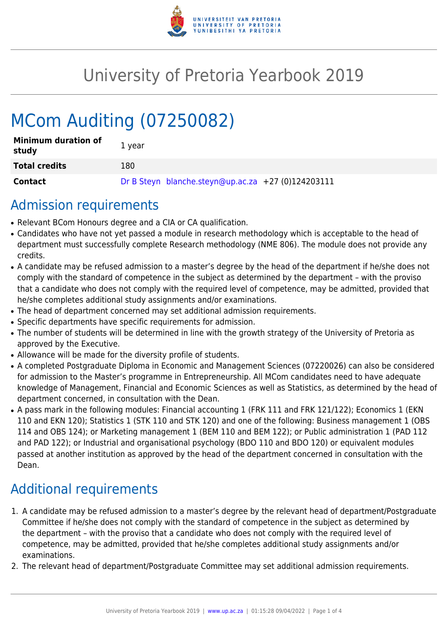

## University of Pretoria Yearbook 2019

# MCom Auditing (07250082)

| <b>Minimum duration of</b><br>study | 1 year                                             |
|-------------------------------------|----------------------------------------------------|
| <b>Total credits</b>                | 180                                                |
| Contact                             | Dr B Steyn blanche.steyn@up.ac.za +27 (0)124203111 |

### Admission requirements

- Relevant BCom Honours degree and a CIA or CA qualification.
- Candidates who have not yet passed a module in research methodology which is acceptable to the head of department must successfully complete Research methodology (NME 806). The module does not provide any credits.
- A candidate may be refused admission to a master's degree by the head of the department if he/she does not comply with the standard of competence in the subject as determined by the department – with the proviso that a candidate who does not comply with the required level of competence, may be admitted, provided that he/she completes additional study assignments and/or examinations.
- The head of department concerned may set additional admission requirements.
- Specific departments have specific requirements for admission.
- The number of students will be determined in line with the growth strategy of the University of Pretoria as approved by the Executive.
- Allowance will be made for the diversity profile of students.
- A completed Postgraduate Diploma in Economic and Management Sciences (07220026) can also be considered for admission to the Master's programme in Entrepreneurship. All MCom candidates need to have adequate knowledge of Management, Financial and Economic Sciences as well as Statistics, as determined by the head of department concerned, in consultation with the Dean.
- A pass mark in the following modules: Financial accounting 1 (FRK 111 and FRK 121/122); Economics 1 (EKN 110 and EKN 120); Statistics 1 (STK 110 and STK 120) and one of the following: Business management 1 (OBS 114 and OBS 124); or Marketing management 1 (BEM 110 and BEM 122); or Public administration 1 (PAD 112 and PAD 122); or Industrial and organisational psychology (BDO 110 and BDO 120) or equivalent modules passed at another institution as approved by the head of the department concerned in consultation with the Dean.

### Additional requirements

- 1. A candidate may be refused admission to a master's degree by the relevant head of department/Postgraduate Committee if he/she does not comply with the standard of competence in the subject as determined by the department – with the proviso that a candidate who does not comply with the required level of competence, may be admitted, provided that he/she completes additional study assignments and/or examinations.
- 2. The relevant head of department/Postgraduate Committee may set additional admission requirements.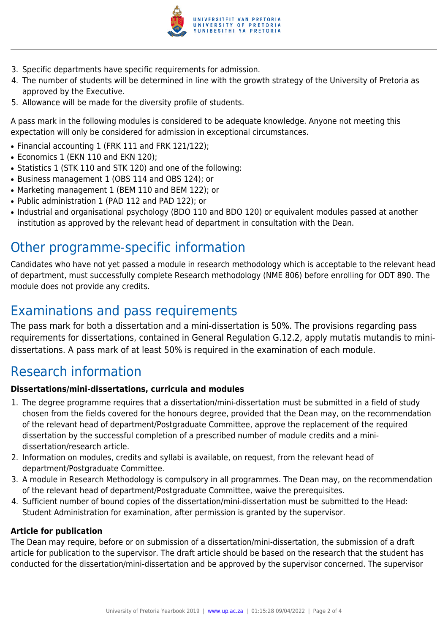

- 3. Specific departments have specific requirements for admission.
- 4. The number of students will be determined in line with the growth strategy of the University of Pretoria as approved by the Executive.
- 5. Allowance will be made for the diversity profile of students.

A pass mark in the following modules is considered to be adequate knowledge. Anyone not meeting this expectation will only be considered for admission in exceptional circumstances.

- Financial accounting 1 (FRK 111 and FRK 121/122);
- Economics 1 (EKN 110 and EKN 120);
- Statistics 1 (STK 110 and STK 120) and one of the following:
- Business management 1 (OBS 114 and OBS 124); or
- Marketing management 1 (BEM 110 and BEM 122); or
- Public administration 1 (PAD 112 and PAD 122); or
- Industrial and organisational psychology (BDO 110 and BDO 120) or equivalent modules passed at another institution as approved by the relevant head of department in consultation with the Dean.

### Other programme-specific information

Candidates who have not yet passed a module in research methodology which is acceptable to the relevant head of department, must successfully complete Research methodology (NME 806) before enrolling for ODT 890. The module does not provide any credits.

### Examinations and pass requirements

The pass mark for both a dissertation and a mini-dissertation is 50%. The provisions regarding pass requirements for dissertations, contained in General Regulation G.12.2, apply mutatis mutandis to minidissertations. A pass mark of at least 50% is required in the examination of each module.

#### Research information

#### **Dissertations/mini-dissertations, curricula and modules**

- 1. The degree programme requires that a dissertation/mini-dissertation must be submitted in a field of study chosen from the fields covered for the honours degree, provided that the Dean may, on the recommendation of the relevant head of department/Postgraduate Committee, approve the replacement of the required dissertation by the successful completion of a prescribed number of module credits and a minidissertation/research article.
- 2. Information on modules, credits and syllabi is available, on request, from the relevant head of department/Postgraduate Committee.
- 3. A module in Research Methodology is compulsory in all programmes. The Dean may, on the recommendation of the relevant head of department/Postgraduate Committee, waive the prerequisites.
- 4. Sufficient number of bound copies of the dissertation/mini-dissertation must be submitted to the Head: Student Administration for examination, after permission is granted by the supervisor.

#### **Article for publication**

The Dean may require, before or on submission of a dissertation/mini-dissertation, the submission of a draft article for publication to the supervisor. The draft article should be based on the research that the student has conducted for the dissertation/mini-dissertation and be approved by the supervisor concerned. The supervisor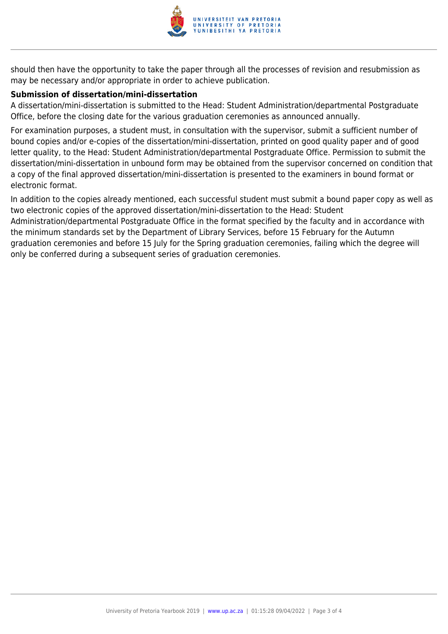

should then have the opportunity to take the paper through all the processes of revision and resubmission as may be necessary and/or appropriate in order to achieve publication.

#### **Submission of dissertation/mini-dissertation**

only be conferred during a subsequent series of graduation ceremonies.

A dissertation/mini-dissertation is submitted to the Head: Student Administration/departmental Postgraduate Office, before the closing date for the various graduation ceremonies as announced annually.

For examination purposes, a student must, in consultation with the supervisor, submit a sufficient number of bound copies and/or e-copies of the dissertation/mini-dissertation, printed on good quality paper and of good letter quality, to the Head: Student Administration/departmental Postgraduate Office. Permission to submit the dissertation/mini-dissertation in unbound form may be obtained from the supervisor concerned on condition that a copy of the final approved dissertation/mini-dissertation is presented to the examiners in bound format or electronic format.

In addition to the copies already mentioned, each successful student must submit a bound paper copy as well as two electronic copies of the approved dissertation/mini-dissertation to the Head: Student Administration/departmental Postgraduate Office in the format specified by the faculty and in accordance with the minimum standards set by the Department of Library Services, before 15 February for the Autumn graduation ceremonies and before 15 July for the Spring graduation ceremonies, failing which the degree will